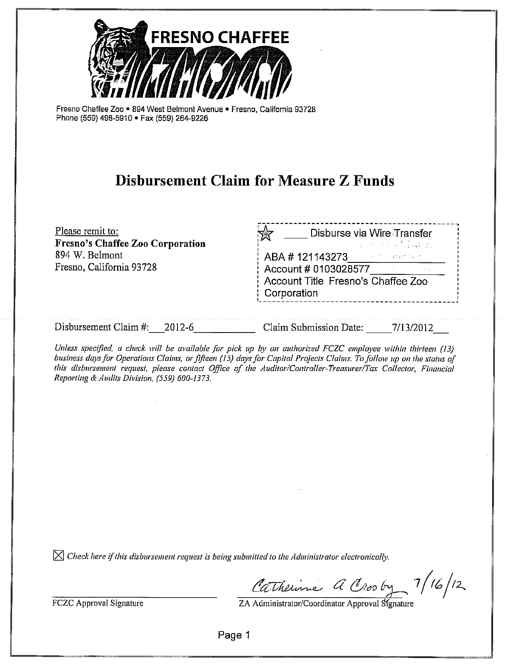

Fresno Chaffee Zoo . 894 West Belmont Avenue . Fresno, California 93728 Phone (559) 498-5910 · Fax (559) 264-9226

# **Disbursement Claim for Measure Z Funds**

| Please remit to:<br>Fresno's Chaffee Zoo Corporation | Disburse via Wire Transfer<br>赏<br>그는 아이들의 의사를 들을 것이                                                                        |
|------------------------------------------------------|-----------------------------------------------------------------------------------------------------------------------------|
| 894 W. Belmont<br>Fresno, California 93728           | <b>ABA # 121143273</b> ABA # 12114 <b>3273</b><br>Account # 0103028577<br>Account Title Fresno's Chaffee Zoo<br>Corporation |
|                                                      |                                                                                                                             |

Disbursement Claim #: 2012-6 Claim Submission Date: 7/13/2012

Unless specified, a check will be available for pick up by an authorized FCZC employee within thirteen (13) business days for Operations Claims, or fifteen (15) days for Capital Projects Claims. To follow up on the status of this disbursement request, please contact Office of the Auditor/Controller-Treasurer/Tax Collector, Financial Reporting & Audits Division, (559) 600-1373.

 $\boxtimes$  Check here if this disbursement request is being submitted to the Administrator electronically.

Catherine A Crosby 7/16/12

**FCZC Approval Signature** 

Page 1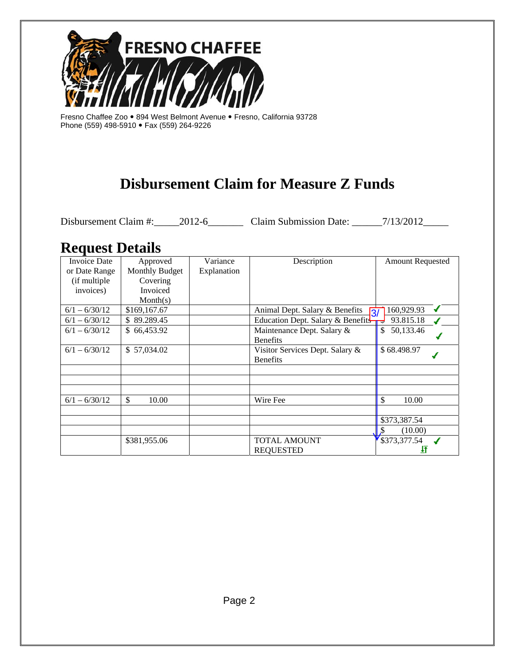

Fresno Chaffee Zoo • 894 West Belmont Avenue • Fresno, California 93728 Phone (559) 498-5910 Fax (559) 264-9226

# **Disbursement Claim for Measure Z Funds**

Disbursement Claim #:\_\_\_\_\_2012-6\_\_\_\_\_\_\_\_ Claim Submission Date: \_\_\_\_\_\_7/13/2012\_\_\_\_\_

## **Request Details**

| <b>Invoice Date</b> | Approved       | Variance    | Description                                       | <b>Amount Requested</b> |
|---------------------|----------------|-------------|---------------------------------------------------|-------------------------|
| or Date Range       | Monthly Budget | Explanation |                                                   |                         |
| (if multiple)       | Covering       |             |                                                   |                         |
| invoices)           | Invoiced       |             |                                                   |                         |
|                     | Month(s)       |             |                                                   |                         |
| $6/1 - 6/30/12$     | \$169,167.67   |             | Animal Dept. Salary & Benefits<br>$\overline{3/}$ | 160,929.93              |
| $6/1 - 6/30/12$     | \$89.289.45    |             | Education Dept. Salary & Benefits-                | 93.815.18<br>πυ         |
| $6/1 - 6/30/12$     | \$66,453.92    |             | Maintenance Dept. Salary &                        | \$<br>50,133.46         |
|                     |                |             | <b>Benefits</b>                                   |                         |
| $6/1 - 6/30/12$     | \$57,034.02    |             | Visitor Services Dept. Salary &                   | \$68.498.97             |
|                     |                |             | <b>Benefits</b>                                   |                         |
|                     |                |             |                                                   |                         |
|                     |                |             |                                                   |                         |
|                     |                |             |                                                   |                         |
| $6/1 - 6/30/12$     | \$<br>10.00    |             | Wire Fee                                          | \$<br>10.00             |
|                     |                |             |                                                   |                         |
|                     |                |             |                                                   | \$373,387.54            |
|                     |                |             |                                                   | (10.00)                 |
|                     | \$381,955.06   |             | TOTAL AMOUNT                                      | \$373,377.54            |
|                     |                |             | <b>REQUESTED</b>                                  |                         |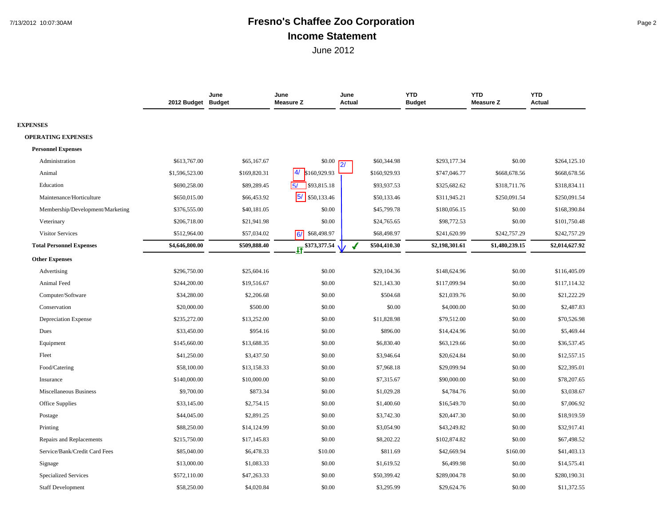## 7/13/2012 10:07:30AM **Fresno's Chaffee Zoo Corporation** Page 2 **Income Statement**

|                                  | 2012 Budget Budget | June         | June<br><b>Measure Z</b> | June<br>Actual | <b>YTD</b><br><b>Budget</b> | <b>YTD</b><br><b>Measure Z</b> | <b>YTD</b><br>Actual |
|----------------------------------|--------------------|--------------|--------------------------|----------------|-----------------------------|--------------------------------|----------------------|
| <b>EXPENSES</b>                  |                    |              |                          |                |                             |                                |                      |
| <b>OPERATING EXPENSES</b>        |                    |              |                          |                |                             |                                |                      |
| <b>Personnel Expenses</b>        |                    |              |                          |                |                             |                                |                      |
| Administration                   | \$613,767.00       | \$65,167.67  | \$0.00                   | \$60,344.98    | \$293,177.34                | \$0.00                         | \$264,125.10         |
| Animal                           | \$1,596,523.00     | \$169,820.31 | 4/<br>\$160,929.93       | \$160,929.93   | \$747,046.77                | \$668,678.56                   | \$668,678.56         |
| Education                        | \$690,258.00       | \$89,289.45  | $5/$ \$93,815.18         | \$93,937.53    | \$325,682.62                | \$318,711.76                   | \$318,834.11         |
| Maintenance/Horticulture         | \$650,015.00       | \$66,453.92  | 5/<br>\$50,133.46        | \$50,133.46    | \$311,945.21                | \$250,091.54                   | \$250,091.54         |
| Membership/Development/Marketing | \$376,555.00       | \$40,181.05  | \$0.00                   | \$45,799.78    | \$180,056.15                | \$0.00                         | \$168,390.84         |
| Veterinary                       | \$206,718.00       | \$21,941.98  | \$0.00                   | \$24,765.65    | \$98,772.53                 | \$0.00                         | \$101,750.48         |
| Visitor Services                 | \$512,964.00       | \$57,034.02  | \$68,498.97<br>16/       | \$68,498.97    | \$241,620.99                | \$242,757.29                   | \$242,757.29         |
| <b>Total Personnel Expenses</b>  | \$4,646,800.00     | \$509,888.40 | \$373,377.54             | \$504,410.30   | \$2,198,301.61              | \$1,480,239.15                 | \$2,014,627.92       |
| <b>Other Expenses</b>            |                    |              |                          |                |                             |                                |                      |
| Advertising                      | \$296,750.00       | \$25,604.16  | \$0.00                   | \$29,104.36    | \$148,624.96                | \$0.00                         | \$116,405.09         |
| Animal Feed                      | \$244,200.00       | \$19,516.67  | \$0.00                   | \$21,143.30    | \$117,099.94                | \$0.00                         | \$117,114.32         |
| Computer/Software                | \$34,280.00        | \$2,206.68   | \$0.00                   | \$504.68       | \$21,039.76                 | \$0.00                         | \$21,222.29          |
| Conservation                     | \$20,000.00        | \$500.00     | \$0.00                   | \$0.00         | \$4,000.00                  | \$0.00                         | \$2,487.83           |
| <b>Depreciation Expense</b>      | \$235,272.00       | \$13,252.00  | \$0.00                   | \$11,828.98    | \$79,512.00                 | \$0.00                         | \$70,526.98          |
| Dues                             | \$33,450.00        | \$954.16     | \$0.00                   | \$896.00       | \$14,424.96                 | \$0.00                         | \$5,469.44           |
| Equipment                        | \$145,660.00       | \$13,688.35  | \$0.00                   | \$6,830.40     | \$63,129.66                 | \$0.00                         | \$36,537.45          |
| Fleet                            | \$41,250.00        | \$3,437.50   | \$0.00                   | \$3,946.64     | \$20,624.84                 | \$0.00                         | \$12,557.15          |
| Food/Catering                    | \$58,100.00        | \$13,158.33  | \$0.00                   | \$7,968.18     | \$29,099.94                 | \$0.00                         | \$22,395.01          |
| Insurance                        | \$140,000.00       | \$10,000.00  | \$0.00                   | \$7,315.67     | \$90,000.00                 | \$0.00                         | \$78,207.65          |
| <b>Miscellaneous Business</b>    | \$9,700.00         | \$873.34     | \$0.00                   | \$1,029.28     | \$4,784.76                  | \$0.00                         | \$3,038.67           |
| Office Supplies                  | \$33,145.00        | \$2,754.15   | \$0.00                   | \$1,400.60     | \$16,549.70                 | \$0.00                         | \$7,006.92           |
| Postage                          | \$44,045.00        | \$2,891.25   | \$0.00                   | \$3,742.30     | \$20,447.30                 | \$0.00                         | \$18,919.59          |
| Printing                         | \$88,250.00        | \$14,124.99  | \$0.00                   | \$3,054.90     | \$43,249.82                 | \$0.00                         | \$32,917.41          |
| Repairs and Replacements         | \$215,750.00       | \$17,145.83  | \$0.00                   | \$8,202.22     | \$102,874.82                | \$0.00                         | \$67,498.52          |
| Service/Bank/Credit Card Fees    | \$85,040.00        | \$6,478.33   | \$10.00                  | \$811.69       | \$42,669.94                 | \$160.00                       | \$41,403.13          |
| Signage                          | \$13,000.00        | \$1,083.33   | \$0.00                   | \$1,619.52     | \$6,499.98                  | \$0.00                         | \$14,575.41          |
| <b>Specialized Services</b>      | \$572,110.00       | \$47,263.33  | \$0.00                   | \$50,399.42    | \$289,004.78                | \$0.00                         | \$280,190.31         |
| <b>Staff Development</b>         | \$58,250.00        | \$4,020.84   | \$0.00                   | \$3,295.99     | \$29,624.76                 | \$0.00                         | \$11,372.55          |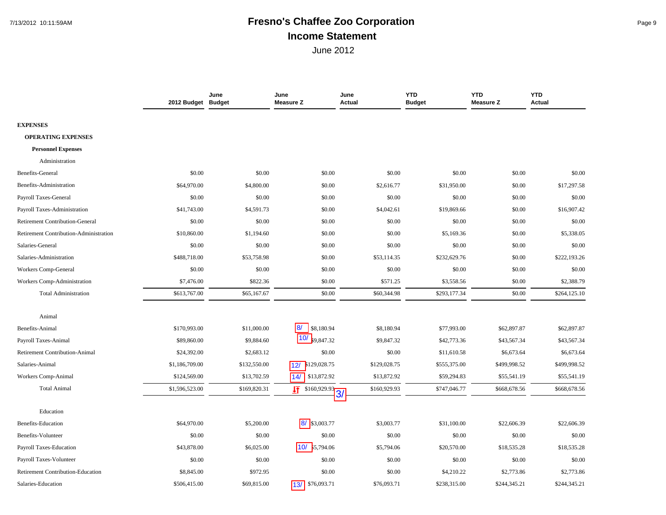## 7/13/2012 10:11:59AM **Fresno's Chaffee Zoo Corporation** Page 9 **Income Statement**

|                                        | 2012 Budget Budget | June         | June<br><b>Measure Z</b>          | June<br>Actual | <b>YTD</b><br><b>Budget</b> | <b>YTD</b><br><b>Measure Z</b> | <b>YTD</b><br>Actual |
|----------------------------------------|--------------------|--------------|-----------------------------------|----------------|-----------------------------|--------------------------------|----------------------|
|                                        |                    |              |                                   |                |                             |                                |                      |
| <b>EXPENSES</b>                        |                    |              |                                   |                |                             |                                |                      |
| <b>OPERATING EXPENSES</b>              |                    |              |                                   |                |                             |                                |                      |
| <b>Personnel Expenses</b>              |                    |              |                                   |                |                             |                                |                      |
| Administration                         |                    |              |                                   |                |                             |                                |                      |
| Benefits-General                       | \$0.00             | \$0.00       | \$0.00                            | \$0.00         | \$0.00                      | \$0.00                         | \$0.00               |
| Benefits-Administration                | \$64,970.00        | \$4,800.00   | \$0.00                            | \$2,616.77     | \$31,950.00                 | \$0.00                         | \$17,297.58          |
| Payroll Taxes-General                  | \$0.00             | \$0.00       | \$0.00                            | \$0.00         | \$0.00                      | \$0.00                         | \$0.00               |
| Payroll Taxes-Administration           | \$41,743.00        | \$4,591.73   | \$0.00                            | \$4,042.61     | \$19,869.66                 | \$0.00                         | \$16,907.42          |
| <b>Retirement Contribution-General</b> | \$0.00             | \$0.00       | \$0.00                            | \$0.00         | \$0.00                      | \$0.00                         | \$0.00               |
| Retirement Contribution-Administration | \$10,860.00        | \$1,194.60   | \$0.00                            | \$0.00         | \$5,169.36                  | \$0.00                         | \$5,338.05           |
| Salaries-General                       | \$0.00             | \$0.00       | \$0.00                            | \$0.00         | \$0.00                      | \$0.00                         | \$0.00               |
| Salaries-Administration                | \$488,718.00       | \$53,758.98  | \$0.00                            | \$53,114.35    | \$232,629.76                | \$0.00                         | \$222,193.26         |
| Workers Comp-General                   | \$0.00             | \$0.00       | \$0.00                            | \$0.00         | \$0.00                      | \$0.00                         | \$0.00               |
| Workers Comp-Administration            | \$7,476.00         | \$822.36     | \$0.00                            | \$571.25       | \$3,558.56                  | \$0.00                         | \$2,388.79           |
| <b>Total Administration</b>            | \$613,767.00       | \$65,167.67  | \$0.00                            | \$60,344.98    | \$293,177.34                | \$0.00                         | \$264,125.10         |
|                                        |                    |              |                                   |                |                             |                                |                      |
| Animal                                 |                    |              |                                   |                |                             |                                |                      |
| Benefits-Animal                        | \$170,993.00       | \$11,000.00  | 8/<br>\$8,180.94                  | \$8,180.94     | \$77,993.00                 | \$62,897.87                    | \$62,897.87          |
| Payroll Taxes-Animal                   | \$89,860.00        | \$9,884.60   | $ 10\rangle$<br>\$9,847.32        | \$9,847.32     | \$42,773.36                 | \$43,567.34                    | \$43,567.34          |
| <b>Retirement Contribution-Animal</b>  | \$24,392.00        | \$2,683.12   | \$0.00                            | \$0.00         | \$11,610.58                 | \$6,673.64                     | \$6,673.64           |
| Salaries-Animal                        | \$1,186,709.00     | \$132,550.00 | \$129,028.75<br>12/               | \$129,028.75   | \$555,375.00                | \$499,998.52                   | \$499,998.52         |
| Workers Comp-Animal                    | \$124,569.00       | \$13,702.59  | 14/<br>\$13,872.92                | \$13,872.92    | \$59,294.83                 | \$55,541.19                    | \$55,541.19          |
| <b>Total Animal</b>                    | \$1,596,523.00     | \$169,820.31 | $\frac{1}{\sqrt{1}}$ \$160,929.93 | \$160,929.93   | \$747,046.77                | \$668,678.56                   | \$668,678.56         |
|                                        |                    |              |                                   |                |                             |                                |                      |
| Education                              |                    |              |                                   |                |                             |                                |                      |
| <b>Benefits-Education</b>              | \$64,970.00        | \$5,200.00   | 8/ \$3,003.77                     | \$3,003.77     | \$31,100.00                 | \$22,606.39                    | \$22,606.39          |
| Benefits-Volunteer                     | \$0.00             | \$0.00       | \$0.00                            | \$0.00         | \$0.00                      | \$0.00                         | \$0.00               |
| Payroll Taxes-Education                | \$43,878.00        | \$6,025.00   | 10/<br>5,794.06                   | \$5,794.06     | \$20,570.00                 | \$18,535.28                    | \$18,535.28          |
| Payroll Taxes-Volunteer                | \$0.00             | \$0.00       | \$0.00                            | \$0.00         | \$0.00                      | \$0.00                         | \$0.00               |
| Retirement Contribution-Education      | \$8,845.00         | \$972.95     | \$0.00                            | \$0.00         | \$4,210.22                  | \$2,773.86                     | \$2,773.86           |
| Salaries-Education                     | \$506,415.00       | \$69,815.00  | \$76,093.71<br>13/                | \$76,093.71    | \$238,315.00                | \$244,345.21                   | \$244,345.21         |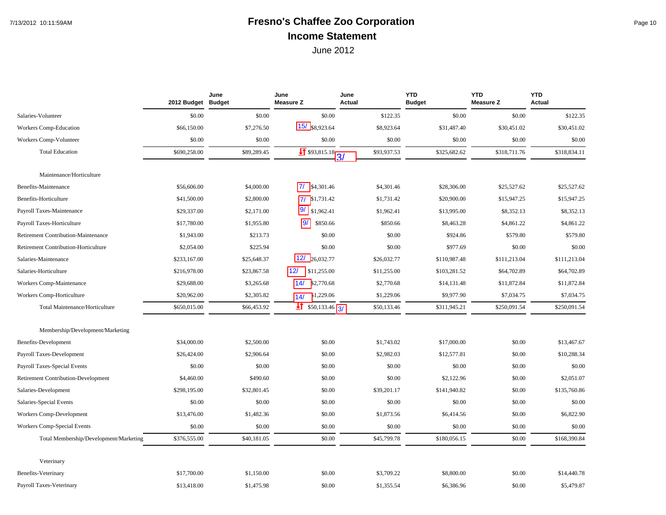## 7/13/2012 10:11:59AM **Fresno's Chaffee Zoo Corporation** Page 10 **Income Statement**

|                                            | 2012 Budget Budget | June        | June<br><b>Measure Z</b>        | June<br><b>Actual</b> | <b>YTD</b><br><b>Budget</b> | <b>YTD</b><br><b>Measure Z</b> | <b>YTD</b><br><b>Actual</b> |
|--------------------------------------------|--------------------|-------------|---------------------------------|-----------------------|-----------------------------|--------------------------------|-----------------------------|
| Salaries-Volunteer                         | \$0.00             | \$0.00      | \$0.00                          | \$122.35              | \$0.00                      | \$0.00                         | \$122.35                    |
| Workers Comp-Education                     | \$66,150.00        | \$7,276.50  | 15/ \$8,923.64                  | \$8,923.64            | \$31,487.40                 | \$30,451.02                    | \$30,451.02                 |
| Workers Comp-Volunteer                     | \$0.00             | \$0.00      | \$0.00                          | \$0.00                | \$0.00                      | \$0.00                         | \$0.00                      |
| <b>Total Education</b>                     | \$690,258.00       | \$89,289.45 | $\frac{1}{1}$ \$93,815.18<br>3/ | \$93,937.53           | \$325,682.62                | \$318,711.76                   | \$318,834.11                |
| Maintenance/Horticulture                   |                    |             |                                 |                       |                             |                                |                             |
| Benefits-Maintenance                       | \$56,606.00        | \$4,000.00  | 77<br>\$4,301.46                | \$4,301.46            | \$28,306.00                 | \$25,527.62                    | \$25,527.62                 |
| Benefits-Horticulture                      | \$41,500.00        | \$2,800.00  | \$1,731.42<br>17/               | \$1,731.42            | \$20,900.00                 | \$15,947.25                    | \$15,947.25                 |
| Payroll Taxes-Maintenance                  | \$29,337.00        | \$2,171.00  | 9/<br>\$1,962.41                | \$1,962.41            | \$13,995.00                 | \$8,352.13                     | \$8,352.13                  |
| Payroll Taxes-Horticulture                 | \$17,780.00        | \$1,955.80  | 9/<br>\$850.66                  | \$850.66              | \$8,463.28                  | \$4,861.22                     | \$4,861.22                  |
| Retirement Contribution-Maintenance        | \$1,943.00         | \$213.73    | \$0.00                          | \$0.00                | \$924.86                    | \$579.80                       | \$579.80                    |
| Retirement Contribution-Horticulture       | \$2,054.00         | \$225.94    | \$0.00                          | \$0.00                | \$977.69                    | \$0.00                         | \$0.00                      |
| Salaries-Maintenance                       | \$233,167.00       | \$25,648.37 | 12/26,032.77                    | \$26,032.77           | \$110,987.48                | \$111,213.04                   | \$111,213.04                |
| Salaries-Horticulture                      | \$216,978.00       | \$23,867.58 | 12/<br>\$11,255.00              | \$11,255.00           | \$103,281.52                | \$64,702.89                    | \$64,702.89                 |
| Workers Comp-Maintenance                   | \$29,688.00        | \$3,265.68  | 14/<br>\$2,770.68               | \$2,770.68            | \$14,131.48                 | \$11,872.84                    | \$11,872.84                 |
| Workers Comp-Horticulture                  | \$20,962.00        | \$2,305.82  | 1,229.06<br>14/                 | \$1,229.06            | \$9,977.90                  | \$7,034.75                     | \$7,034.75                  |
| Total Maintenance/Horticulture             | \$650,015.00       | \$66,453.92 | $\frac{1}{2}$ \$50,133.46 3/    | \$50,133.46           | \$311,945.21                | \$250,091.54                   | \$250,091.54                |
|                                            |                    |             |                                 |                       |                             |                                |                             |
| Membership/Development/Marketing           |                    |             |                                 |                       |                             |                                |                             |
| <b>Benefits-Development</b>                | \$34,000.00        | \$2,500.00  | \$0.00                          | \$1,743.02            | \$17,000.00                 | \$0.00                         | \$13,467.67                 |
| Payroll Taxes-Development                  | \$26,424.00        | \$2,906.64  | \$0.00                          | \$2,982.03            | \$12,577.81                 | \$0.00                         | \$10,288.34                 |
| Payroll Taxes-Special Events               | \$0.00             | \$0.00      | \$0.00                          | \$0.00                | \$0.00                      | \$0.00                         | \$0.00                      |
| <b>Retirement Contribution-Development</b> | \$4,460.00         | \$490.60    | \$0.00                          | \$0.00                | \$2,122.96                  | \$0.00                         | \$2,051.07                  |
| Salaries-Development                       | \$298,195.00       | \$32,801.45 | \$0.00                          | \$39,201.17           | \$141,940.82                | \$0.00                         | \$135,760.86                |
| Salaries-Special Events                    | \$0.00             | \$0.00      | \$0.00                          | \$0.00                | \$0.00                      | \$0.00                         | \$0.00                      |
| Workers Comp-Development                   | \$13,476.00        | \$1,482.36  | \$0.00                          | \$1,873.56            | \$6,414.56                  | \$0.00                         | \$6,822.90                  |
| Workers Comp-Special Events                | \$0.00             | \$0.00      | \$0.00                          | \$0.00                | \$0.00                      | \$0.00                         | \$0.00                      |
| Total Membership/Development/Marketing     | \$376,555.00       | \$40,181.05 | \$0.00                          | \$45,799.78           | \$180,056.15                | \$0.00                         | \$168,390.84                |
| Veterinary                                 |                    |             |                                 |                       |                             |                                |                             |
| <b>Benefits-Veterinary</b>                 | \$17,700.00        | \$1,150.00  | \$0.00                          | \$3,709.22            | \$8,800.00                  | \$0.00                         | \$14,440.78                 |
| Payroll Taxes-Veterinary                   | \$13,418.00        | \$1,475.98  | \$0.00                          | \$1,355.54            | \$6,386.96                  | \$0.00                         | \$5,479.87                  |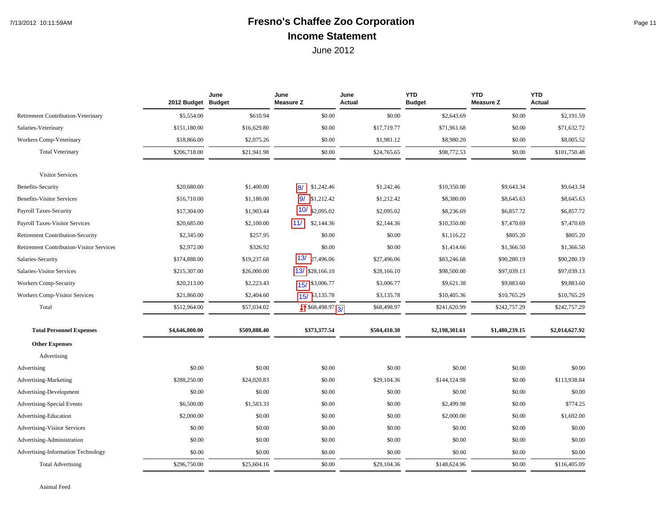## 7/13/2012 10:11:59AM **Fresno's Chaffee Zoo Corporation** Page 11 **Income Statement**

|                                                 | 2012 Budget Budget | June         | June<br><b>Measure Z</b>          | June<br>Actual | <b>YTD</b><br><b>Budget</b> | <b>YTD</b><br><b>Measure Z</b> | <b>YTD</b><br><b>Actual</b> |
|-------------------------------------------------|--------------------|--------------|-----------------------------------|----------------|-----------------------------|--------------------------------|-----------------------------|
| <b>Retirement Contribution-Veterinary</b>       | \$5,554.00         | \$610.94     | \$0.00                            | \$0.00         | \$2,643.69                  | \$0.00                         | \$2,191.59                  |
| Salaries-Veterinary                             | \$151,180.00       | \$16,629.80  | \$0.00                            | \$17,719.77    | \$71,961.68                 | \$0.00                         | \$71,632.72                 |
| Workers Comp-Veterinary                         | \$18,866.00        | \$2,075.26   | \$0.00                            | \$1,981.12     | \$8,980.20                  | \$0.00                         | \$8,005.52                  |
| <b>Total Veterinary</b>                         | \$206,718.00       | \$21,941.98  | \$0.00                            | \$24,765.65    | \$98,772.53                 | \$0.00                         | \$101,750.48                |
| <b>Visitor Services</b>                         |                    |              |                                   |                |                             |                                |                             |
| Benefits-Security                               | \$20,680.00        | \$1,400.00   | 8/<br>\$1,242.46                  | \$1,242.46     | \$10,350.00                 | \$9,643.34                     | \$9,643.34                  |
| <b>Benefits-Visitor Services</b>                | \$16,710.00        | \$1,180.00   | 9/<br>\$1,212.42                  | \$1,212.42     | \$8,380.00                  | \$8,645.63                     | \$8,645.63                  |
| Payroll Taxes-Security                          | \$17,304.00        | \$1,903.44   | $10/$ \$2,095.02                  | \$2,095.02     | \$8,236.69                  | \$6,857.72                     | \$6,857.72                  |
| <b>Payroll Taxes-Visitor Services</b>           | \$20,685.00        | \$2,100.00   | 111/<br>\$2,144.36                | \$2,144.36     | \$10,350.00                 | \$7,470.69                     | \$7,470.69                  |
| <b>Retirement Contribution-Security</b>         | \$2,345.00         | \$257.95     | \$0.00                            | \$0.00         | \$1,116.22                  | \$805.20                       | \$805.20                    |
| <b>Retirement Contribution-Visitor Services</b> | \$2,972.00         | \$326.92     | \$0.00                            | \$0.00         | \$1,414.66                  | \$1,366.50                     | \$1,366.50                  |
| Salaries-Security                               | \$174,888.00       | \$19,237.68  | 13/<br>27,496.06                  | \$27,496.06    | \$83,246.68                 | \$90,280.19                    | \$90,280.19                 |
| Salaries-Visitor Services                       | \$215,307.00       | \$26,000.00  | 13/ \$28,166.10                   | \$28,166.10    | \$98,500.00                 | \$97,039.13                    | \$97,039.13                 |
| <b>Workers Comp-Security</b>                    | \$20,213.00        | \$2,223.43   | 15/ \$3,006.77                    | \$3,006.77     | \$9,621.38                  | \$9,883.60                     | \$9,883.60                  |
| <b>Workers Comp-Visitor Services</b>            | \$21,860.00        | \$2,404.60   | 15/3,135.78                       | \$3,135.78     | \$10,405.36                 | \$10,765.29                    | \$10,765.29                 |
| Total                                           | \$512,964.00       | \$57,034.02  | $\sqrt{1}$ \$68,498.97 $\sqrt{3}$ | \$68,498.97    | \$241,620.99                | \$242,757.29                   | \$242,757.29                |
| <b>Total Personnel Expenses</b>                 | \$4,646,800.00     | \$509,888.40 | \$373,377.54                      | \$504,410.30   | \$2,198,301.61              | \$1,480,239.15                 | \$2,014,627.92              |
| <b>Other Expenses</b>                           |                    |              |                                   |                |                             |                                |                             |
| Advertising                                     |                    |              |                                   |                |                             |                                |                             |
| Advertising                                     | \$0.00             | \$0.00       | \$0.00                            | \$0.00         | \$0.00                      | \$0.00                         | \$0.00                      |
| Advertising-Marketing                           | \$288,250.00       | \$24,020.83  | \$0.00                            | \$29,104.36    | \$144,124.98                | \$0.00                         | \$113,938.84                |
| Advertising-Development                         | \$0.00             | \$0.00       | \$0.00                            | \$0.00         | \$0.00                      | \$0.00                         | \$0.00                      |
| Advertising-Special Events                      | \$6,500.00         | \$1,583.33   | \$0.00                            | \$0.00         | \$2,499.98                  | \$0.00                         | \$774.25                    |
| Advertising-Education                           | \$2,000.00         | \$0.00       | \$0.00                            | \$0.00         | \$2,000.00                  | \$0.00                         | \$1,692.00                  |
| <b>Advertising-Visitor Services</b>             | \$0.00             | \$0.00       | \$0.00                            | \$0.00         | \$0.00                      | \$0.00                         | \$0.00                      |
| Advertising-Administration                      | \$0.00             | \$0.00       | \$0.00                            | \$0.00         | \$0.00                      | \$0.00                         | \$0.00                      |
| Advertising-Information Technology              | \$0.00             | \$0.00       | \$0.00                            | \$0.00         | \$0.00                      | \$0.00                         | \$0.00                      |
| <b>Total Advertising</b>                        | \$296,750.00       | \$25,604.16  | \$0.00                            | \$29,104.36    | \$148,624.96                | \$0.00                         | \$116,405.09                |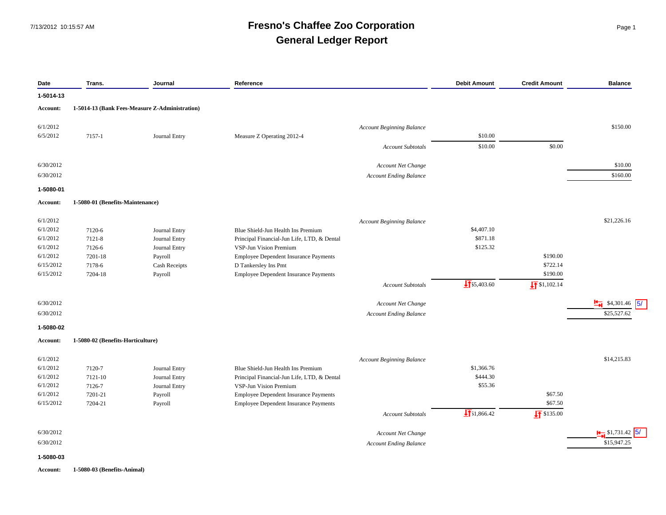#### 7/13/2012 10:15:57 AM **Fresno's Chaffee Zoo Corporation** Page 1 **General Ledger Report**

| Date            | Trans.                            | Journal                                        | Reference                                    |                           | <b>Debit Amount</b>    | <b>Credit Amount</b>  | <b>Balance</b>                   |
|-----------------|-----------------------------------|------------------------------------------------|----------------------------------------------|---------------------------|------------------------|-----------------------|----------------------------------|
| 1-5014-13       |                                   |                                                |                                              |                           |                        |                       |                                  |
| <b>Account:</b> |                                   | 1-5014-13 (Bank Fees-Measure Z-Administration) |                                              |                           |                        |                       |                                  |
| 6/1/2012        |                                   |                                                | <b>Account Beginning Balance</b>             |                           |                        |                       | \$150.00                         |
| 6/5/2012        | 7157-1                            | Journal Entry                                  | Measure Z Operating 2012-4                   |                           | \$10.00                |                       |                                  |
|                 |                                   |                                                |                                              | <b>Account Subtotals</b>  | \$10.00                | \$0.00                |                                  |
|                 |                                   |                                                |                                              |                           |                        |                       |                                  |
| 6/30/2012       |                                   |                                                |                                              | <b>Account Net Change</b> |                        |                       | \$10.00                          |
| 6/30/2012       |                                   |                                                | <b>Account Ending Balance</b>                |                           |                        |                       | \$160.00                         |
| 1-5080-01       |                                   |                                                |                                              |                           |                        |                       |                                  |
| <b>Account:</b> | 1-5080-01 (Benefits-Maintenance)  |                                                |                                              |                           |                        |                       |                                  |
| 6/1/2012        |                                   |                                                | <b>Account Beginning Balance</b>             |                           |                        |                       | \$21,226.16                      |
| 6/1/2012        | 7120-6                            | Journal Entry                                  | Blue Shield-Jun Health Ins Premium           |                           | \$4,407.10             |                       |                                  |
| 6/1/2012        | 7121-8                            | Journal Entry                                  | Principal Financial-Jun Life, LTD, & Dental  |                           | \$871.18               |                       |                                  |
| 6/1/2012        | 7126-6                            | Journal Entry                                  | VSP-Jun Vision Premium                       |                           | \$125.32               |                       |                                  |
| 6/1/2012        | 7201-18                           | Payroll                                        | <b>Employee Dependent Insurance Payments</b> |                           |                        | \$190.00              |                                  |
| 6/15/2012       | 7178-6                            | Cash Receipts                                  | D Tankersley Ins Pmt                         |                           |                        | \$722.14              |                                  |
| 6/15/2012       | 7204-18                           | Payroll                                        | <b>Employee Dependent Insurance Payments</b> |                           |                        | \$190.00              |                                  |
|                 |                                   |                                                |                                              | <b>Account Subtotals</b>  | $\sqrt{11}$ \$5,403.60 | $\sqrt{1}$ \$1,102.14 |                                  |
| 6/30/2012       |                                   |                                                |                                              | Account Net Change        |                        |                       | $\frac{14}{11}$ \$4,301.46<br>5/ |
| 6/30/2012       |                                   |                                                | <b>Account Ending Balance</b>                |                           |                        |                       | \$25,527.62                      |
| 1-5080-02       |                                   |                                                |                                              |                           |                        |                       |                                  |
| Account:        | 1-5080-02 (Benefits-Horticulture) |                                                |                                              |                           |                        |                       |                                  |
| 6/1/2012        |                                   |                                                | <b>Account Beginning Balance</b>             |                           |                        |                       | \$14,215.83                      |
| 6/1/2012        | 7120-7                            | Journal Entry                                  | Blue Shield-Jun Health Ins Premium           |                           | \$1,366.76             |                       |                                  |
| 6/1/2012        | 7121-10                           | Journal Entry                                  | Principal Financial-Jun Life, LTD, & Dental  |                           | \$444.30               |                       |                                  |
| 6/1/2012        | 7126-7                            | Journal Entry                                  | VSP-Jun Vision Premium                       |                           | \$55.36                |                       |                                  |
| 6/1/2012        | 7201-21                           | Payroll                                        | <b>Employee Dependent Insurance Payments</b> |                           |                        | \$67.50               |                                  |
| 6/15/2012       | 7204-21                           | Payroll                                        | Employee Dependent Insurance Payments        |                           |                        | \$67.50               |                                  |
|                 |                                   |                                                |                                              | <b>Account Subtotals</b>  | $\sqrt{131,866.42}$    | $\sqrt{11}$ \$135.00  |                                  |
| 6/30/2012       |                                   |                                                |                                              | Account Net Change        |                        |                       | $\frac{1}{2}$ \$1,731.42         |
| 6/30/2012       |                                   |                                                | <b>Account Ending Balance</b>                |                           |                        |                       | \$15,947.25                      |
| 1-5080-03       |                                   |                                                |                                              |                           |                        |                       |                                  |

#### **Account: 1-5080-03 (Benefits-Animal)**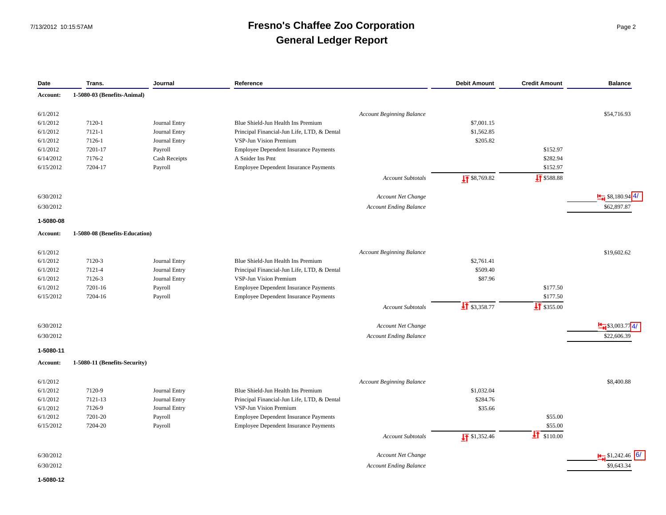### 7/13/2012 10:15:57AM **Fresno's Chaffee Zoo Corporation** Page 2 **General Ledger Report**

| Date      | Trans.                         | Journal       | Reference                                    |                                  | <b>Debit Amount</b>      | <b>Credit Amount</b>   | <b>Balance</b>                |
|-----------|--------------------------------|---------------|----------------------------------------------|----------------------------------|--------------------------|------------------------|-------------------------------|
| Account:  | 1-5080-03 (Benefits-Animal)    |               |                                              |                                  |                          |                        |                               |
| 6/1/2012  |                                |               |                                              | <b>Account Beginning Balance</b> |                          |                        | \$54,716.93                   |
| 6/1/2012  | 7120-1                         | Journal Entry | Blue Shield-Jun Health Ins Premium           |                                  | \$7,001.15               |                        |                               |
| 6/1/2012  | 7121-1                         | Journal Entry | Principal Financial-Jun Life, LTD, & Dental  |                                  | \$1,562.85               |                        |                               |
| 6/1/2012  | 7126-1                         | Journal Entry | VSP-Jun Vision Premium                       |                                  | \$205.82                 |                        |                               |
| 6/1/2012  | 7201-17                        | Payroll       | <b>Employee Dependent Insurance Payments</b> |                                  |                          | \$152.97               |                               |
| 6/14/2012 | 7176-2                         | Cash Receipts | A Snider Ins Pmt                             |                                  |                          | \$282.94               |                               |
| 6/15/2012 | 7204-17                        | Payroll       | Employee Dependent Insurance Payments        |                                  |                          | \$152.97               |                               |
|           |                                |               |                                              | Account Subtotals                | $\frac{1}{2}$ \$8,769.82 | <b>IT</b> \$588.88     |                               |
|           |                                |               |                                              |                                  |                          |                        |                               |
| 6/30/2012 |                                |               |                                              | Account Net Change               |                          |                        | $\frac{14}{14}$ \$8,180.94 4/ |
| 6/30/2012 |                                |               |                                              | <b>Account Ending Balance</b>    |                          |                        | \$62,897.87                   |
| 1-5080-08 |                                |               |                                              |                                  |                          |                        |                               |
| Account:  | 1-5080-08 (Benefits-Education) |               |                                              |                                  |                          |                        |                               |
| 6/1/2012  |                                |               |                                              | <b>Account Beginning Balance</b> |                          |                        | \$19,602.62                   |
| 6/1/2012  | 7120-3                         | Journal Entry | Blue Shield-Jun Health Ins Premium           |                                  | \$2,761.41               |                        |                               |
| 6/1/2012  | 7121-4                         | Journal Entry | Principal Financial-Jun Life, LTD, & Dental  |                                  | \$509.40                 |                        |                               |
| 6/1/2012  | 7126-3                         | Journal Entry | VSP-Jun Vision Premium                       |                                  | \$87.96                  |                        |                               |
| 6/1/2012  | 7201-16                        | Payroll       | Employee Dependent Insurance Payments        |                                  |                          | \$177.50               |                               |
| 6/15/2012 | 7204-16                        | Payroll       | Employee Dependent Insurance Payments        |                                  |                          | \$177.50               |                               |
|           |                                |               |                                              | Account Subtotals                | $\sqrt{1}$ \$3,358.77    | $\sqrt{41}$ \$355.00   |                               |
|           |                                |               |                                              |                                  |                          |                        |                               |
| 6/30/2012 |                                |               |                                              | Account Net Change               |                          |                        | $\frac{H}{H}$ \$3,003.774/    |
| 6/30/2012 |                                |               |                                              | <b>Account Ending Balance</b>    |                          |                        | \$22,606.39                   |
| 1-5080-11 |                                |               |                                              |                                  |                          |                        |                               |
| Account:  | 1-5080-11 (Benefits-Security)  |               |                                              |                                  |                          |                        |                               |
| 6/1/2012  |                                |               |                                              | <b>Account Beginning Balance</b> |                          |                        | \$8,400.88                    |
| 6/1/2012  | 7120-9                         | Journal Entry | Blue Shield-Jun Health Ins Premium           |                                  | \$1,032.04               |                        |                               |
| 6/1/2012  | 7121-13                        | Journal Entry | Principal Financial-Jun Life, LTD, & Dental  |                                  | \$284.76                 |                        |                               |
| 6/1/2012  | 7126-9                         | Journal Entry | VSP-Jun Vision Premium                       |                                  | \$35.66                  |                        |                               |
| 6/1/2012  | 7201-20                        | Payroll       | Employee Dependent Insurance Payments        |                                  |                          | \$55.00                |                               |
| 6/15/2012 | 7204-20                        | Payroll       | Employee Dependent Insurance Payments        |                                  |                          | \$55.00                |                               |
|           |                                |               |                                              | Account Subtotals                | $\sqrt{1}$ \$1,352.46    | $\frac{1}{2}$ \$110.00 |                               |
|           |                                |               |                                              |                                  |                          |                        |                               |
| 6/30/2012 |                                |               |                                              | <b>Account Net Change</b>        |                          |                        | $\frac{1}{2}$ \$1,242.46      |
| 6/30/2012 |                                |               |                                              | <b>Account Ending Balance</b>    |                          |                        | \$9,643.34                    |
| 1-5080-12 |                                |               |                                              |                                  |                          |                        |                               |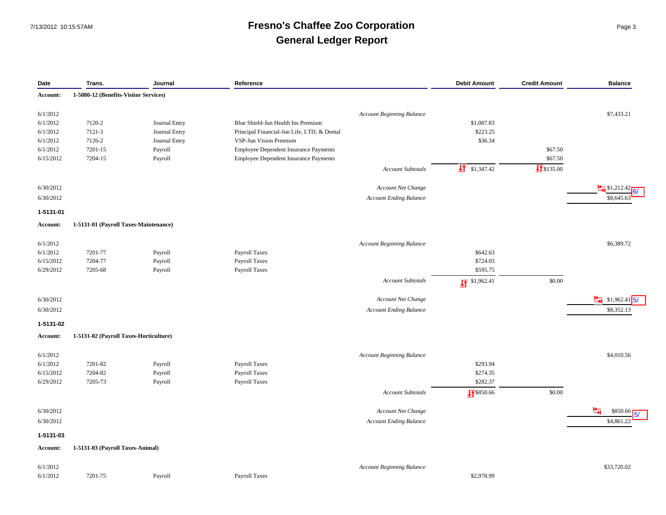### 7/13/2012 10:15:57AM **Fresno's Chaffee Zoo Corporation** Page 3 **General Ledger Report**

| Date      | Trans.                                 | Journal       | Reference                                                              | <b>Debit Amount</b>      | <b>Credit Amount</b>   | <b>Balance</b>              |
|-----------|----------------------------------------|---------------|------------------------------------------------------------------------|--------------------------|------------------------|-----------------------------|
| Account:  | 1-5080-12 (Benefits-Visitor Services)  |               |                                                                        |                          |                        |                             |
| 6/1/2012  |                                        |               |                                                                        |                          |                        | \$7,433.21                  |
| 6/1/2012  | 7120-2                                 | Journal Entry | <b>Account Beginning Balance</b><br>Blue Shield-Jun Health Ins Premium | \$1,087.83               |                        |                             |
| 6/1/2012  | 7121-3                                 | Journal Entry | Principal Financial-Jun Life, LTD, & Dental                            | \$223.25                 |                        |                             |
| 6/1/2012  | 7126-2                                 | Journal Entry | VSP-Jun Vision Premium                                                 | \$36.34                  |                        |                             |
| 6/1/2012  | 7201-15                                | Payroll       | Employee Dependent Insurance Payments                                  |                          | \$67.50                |                             |
| 6/15/2012 | 7204-15                                | Payroll       | Employee Dependent Insurance Payments                                  |                          | \$67.50                |                             |
|           |                                        |               | <b>Account Subtotals</b>                                               | $\frac{1}{2}$ \$1,347.42 | $\frac{1}{2}$ \$135.00 |                             |
|           |                                        |               |                                                                        |                          |                        |                             |
| 6/30/2012 |                                        |               | Account Net Change                                                     |                          |                        | $\frac{1}{2}$ \$1,212.42    |
| 6/30/2012 |                                        |               | <b>Account Ending Balance</b>                                          |                          |                        | \$8,645.63                  |
| 1-5131-01 |                                        |               |                                                                        |                          |                        |                             |
| Account:  | 1-5131-01 (Payroll Taxes-Maintenance)  |               |                                                                        |                          |                        |                             |
| 6/1/2012  |                                        |               | <b>Account Beginning Balance</b>                                       |                          |                        | \$6,389.72                  |
| 6/1/2012  | 7201-77                                | Payroll       | <b>Payroll Taxes</b>                                                   | \$642.63                 |                        |                             |
| 6/15/2012 | 7204-77                                | Payroll       | <b>Payroll Taxes</b>                                                   | \$724.03                 |                        |                             |
| 6/29/2012 | 7205-68                                | Payroll       | Payroll Taxes                                                          | \$595.75                 |                        |                             |
|           |                                        |               | <b>Account Subtotals</b>                                               | $\sqrt{17}$ \$1,962.41   | \$0.00                 |                             |
|           |                                        |               |                                                                        |                          |                        |                             |
| 6/30/2012 |                                        |               | <b>Account Net Change</b>                                              |                          |                        | $\frac{H}{H}$ \$1,962.41 5/ |
| 6/30/2012 |                                        |               | <b>Account Ending Balance</b>                                          |                          |                        | \$8,352.13                  |
| 1-5131-02 |                                        |               |                                                                        |                          |                        |                             |
| Account:  | 1-5131-02 (Payroll Taxes-Horticulture) |               |                                                                        |                          |                        |                             |
| 6/1/2012  |                                        |               | Account Beginning Balance                                              |                          |                        | \$4,010.56                  |
| 6/1/2012  | 7201-82                                | Payroll       | <b>Payroll Taxes</b>                                                   | \$293.94                 |                        |                             |
| 6/15/2012 | 7204-82                                | Payroll       | <b>Payroll Taxes</b>                                                   | \$274.35                 |                        |                             |
| 6/29/2012 | 7205-73                                | Payroll       | <b>Payroll Taxes</b>                                                   | \$282.37                 |                        |                             |
|           |                                        |               | <b>Account Subtotals</b>                                               | $\frac{1}{21}$ \$850.66  | \$0.00                 |                             |
| 6/30/2012 |                                        |               | Account Net Change                                                     |                          |                        | ᆟ<br>\$850.66               |
| 6/30/2012 |                                        |               | <b>Account Ending Balance</b>                                          |                          |                        | \$4,861.22                  |
|           |                                        |               |                                                                        |                          |                        |                             |
| 1-5131-03 |                                        |               |                                                                        |                          |                        |                             |
| Account:  | 1-5131-03 (Payroll Taxes-Animal)       |               |                                                                        |                          |                        |                             |
| 6/1/2012  |                                        |               | <b>Account Beginning Balance</b>                                       |                          |                        | \$33,720.02                 |
|           |                                        |               |                                                                        |                          |                        |                             |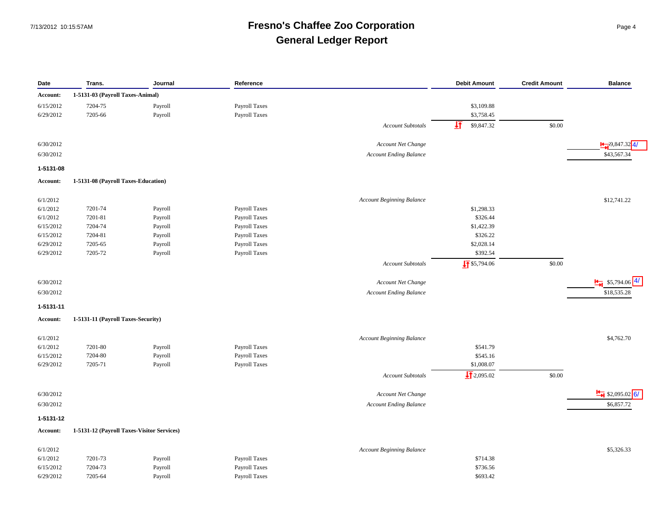### 7/13/2012 10:15:57AM **Fresno's Chaffee Zoo Corporation** Page 4 **General Ledger Report**

| Date      | Trans.                                     | Journal | Reference            |                                  | <b>Debit Amount</b>    | <b>Credit Amount</b> | <b>Balance</b>              |
|-----------|--------------------------------------------|---------|----------------------|----------------------------------|------------------------|----------------------|-----------------------------|
| Account:  | 1-5131-03 (Payroll Taxes-Animal)           |         |                      |                                  |                        |                      |                             |
| 6/15/2012 | 7204-75                                    | Payroll | Payroll Taxes        |                                  | \$3,109.88             |                      |                             |
| 6/29/2012 | 7205-66                                    | Payroll | Payroll Taxes        |                                  | \$3,758.45             |                      |                             |
|           |                                            |         |                      | <b>Account Subtotals</b>         | 坘<br>\$9,847.32        | \$0.00               |                             |
| 6/30/2012 |                                            |         |                      | Account Net Change               |                        |                      | $\frac{1}{2}$ ,9,847.32 4/  |
| 6/30/2012 |                                            |         |                      | <b>Account Ending Balance</b>    |                        |                      | \$43,567.34                 |
| 1-5131-08 |                                            |         |                      |                                  |                        |                      |                             |
| Account:  | 1-5131-08 (Payroll Taxes-Education)        |         |                      |                                  |                        |                      |                             |
| 6/1/2012  |                                            |         |                      | <b>Account Beginning Balance</b> |                        |                      | \$12,741.22                 |
| 6/1/2012  | 7201-74                                    | Payroll | Payroll Taxes        |                                  | \$1,298.33             |                      |                             |
| 6/1/2012  | 7201-81                                    | Payroll | <b>Payroll Taxes</b> |                                  | \$326.44               |                      |                             |
| 6/15/2012 | 7204-74                                    | Payroll | Payroll Taxes        |                                  | \$1,422.39             |                      |                             |
| 6/15/2012 | 7204-81                                    | Payroll | Payroll Taxes        |                                  | \$326.22               |                      |                             |
| 6/29/2012 | 7205-65                                    | Payroll | <b>Payroll Taxes</b> |                                  | \$2,028.14             |                      |                             |
| 6/29/2012 | 7205-72                                    | Payroll | Payroll Taxes        |                                  | \$392.54               |                      |                             |
|           |                                            |         |                      | <b>Account Subtotals</b>         | $\sqrt{11}$ \$5,794.06 | \$0.00               |                             |
| 6/30/2012 |                                            |         |                      | Account Net Change               |                        |                      | $\frac{H}{H}$ \$5,794.06 4/ |
| 6/30/2012 |                                            |         |                      | <b>Account Ending Balance</b>    |                        |                      | \$18,535.28                 |
| 1-5131-11 |                                            |         |                      |                                  |                        |                      |                             |
| Account:  | 1-5131-11 (Payroll Taxes-Security)         |         |                      |                                  |                        |                      |                             |
| 6/1/2012  |                                            |         |                      | <b>Account Beginning Balance</b> |                        |                      | \$4,762.70                  |
| 6/1/2012  | 7201-80                                    | Payroll | Payroll Taxes        |                                  | \$541.79               |                      |                             |
| 6/15/2012 | 7204-80                                    | Payroll | Payroll Taxes        |                                  | \$545.16               |                      |                             |
| 6/29/2012 | 7205-71                                    | Payroll | Payroll Taxes        |                                  | \$1,008.07             |                      |                             |
|           |                                            |         |                      | <b>Account Subtotals</b>         | $\frac{1}{2}$ 2,095.02 | \$0.00               |                             |
| 6/30/2012 |                                            |         |                      | <b>Account Net Change</b>        |                        |                      | $\frac{H}{H}$ \$2,095.02 6/ |
| 6/30/2012 |                                            |         |                      | <b>Account Ending Balance</b>    |                        |                      | \$6,857.72                  |
| 1-5131-12 |                                            |         |                      |                                  |                        |                      |                             |
| Account:  | 1-5131-12 (Payroll Taxes-Visitor Services) |         |                      |                                  |                        |                      |                             |
| 6/1/2012  |                                            |         |                      | <b>Account Beginning Balance</b> |                        |                      | \$5,326.33                  |
| 6/1/2012  | 7201-73                                    | Payroll | Payroll Taxes        |                                  | \$714.38               |                      |                             |
| 6/15/2012 | 7204-73                                    | Payroll | Payroll Taxes        |                                  | \$736.56               |                      |                             |
| 6/29/2012 | 7205-64                                    | Payroll | <b>Payroll Taxes</b> |                                  | \$693.42               |                      |                             |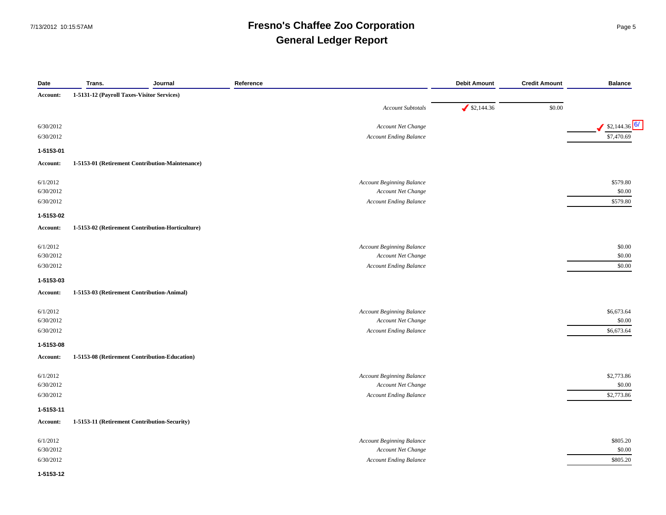### 7/13/2012 10:15:57AM **Fresno's Chaffee Zoo Corporation** Page 5 **General Ledger Report**

| Date      | Trans.                                     | Journal                                          | Reference                        | <b>Debit Amount</b> | <b>Credit Amount</b> | <b>Balance</b> |
|-----------|--------------------------------------------|--------------------------------------------------|----------------------------------|---------------------|----------------------|----------------|
| Account:  | 1-5131-12 (Payroll Taxes-Visitor Services) |                                                  |                                  |                     |                      |                |
|           |                                            |                                                  | Account Subtotals                | \$2,144.36          | \$0.00               |                |
| 6/30/2012 |                                            |                                                  | Account Net Change               |                     |                      | $$2,144.36$ 6/ |
| 6/30/2012 |                                            |                                                  | Account Ending Balance           |                     |                      | \$7,470.69     |
| 1-5153-01 |                                            |                                                  |                                  |                     |                      |                |
| Account:  |                                            | 1-5153-01 (Retirement Contribution-Maintenance)  |                                  |                     |                      |                |
| 6/1/2012  |                                            |                                                  | Account Beginning Balance        |                     |                      | \$579.80       |
| 6/30/2012 |                                            |                                                  | Account Net Change               |                     |                      | \$0.00         |
| 6/30/2012 |                                            |                                                  | <b>Account Ending Balance</b>    |                     |                      | \$579.80       |
| 1-5153-02 |                                            |                                                  |                                  |                     |                      |                |
| Account:  |                                            | 1-5153-02 (Retirement Contribution-Horticulture) |                                  |                     |                      |                |
| 6/1/2012  |                                            |                                                  | <b>Account Beginning Balance</b> |                     |                      | \$0.00         |
| 6/30/2012 |                                            |                                                  | Account Net Change               |                     |                      | \$0.00         |
| 6/30/2012 |                                            |                                                  | <b>Account Ending Balance</b>    |                     |                      | \$0.00         |
| 1-5153-03 |                                            |                                                  |                                  |                     |                      |                |
| Account:  |                                            | 1-5153-03 (Retirement Contribution-Animal)       |                                  |                     |                      |                |
| 6/1/2012  |                                            |                                                  | Account Beginning Balance        |                     |                      | \$6,673.64     |
| 6/30/2012 |                                            |                                                  | Account Net Change               |                     |                      | \$0.00         |
| 6/30/2012 |                                            |                                                  | <b>Account Ending Balance</b>    |                     |                      | \$6,673.64     |
| 1-5153-08 |                                            |                                                  |                                  |                     |                      |                |
| Account:  |                                            | 1-5153-08 (Retirement Contribution-Education)    |                                  |                     |                      |                |
| 6/1/2012  |                                            |                                                  | Account Beginning Balance        |                     |                      | \$2,773.86     |
| 6/30/2012 |                                            |                                                  | Account Net Change               |                     |                      | \$0.00         |
| 6/30/2012 |                                            |                                                  | <b>Account Ending Balance</b>    |                     |                      | \$2,773.86     |
| 1-5153-11 |                                            |                                                  |                                  |                     |                      |                |
| Account:  |                                            | 1-5153-11 (Retirement Contribution-Security)     |                                  |                     |                      |                |
| 6/1/2012  |                                            |                                                  | Account Beginning Balance        |                     |                      | \$805.20       |
| 6/30/2012 |                                            |                                                  | Account Net Change               |                     |                      | \$0.00         |
| 6/30/2012 |                                            |                                                  | <b>Account Ending Balance</b>    |                     |                      | \$805.20       |
| 1-5153-12 |                                            |                                                  |                                  |                     |                      |                |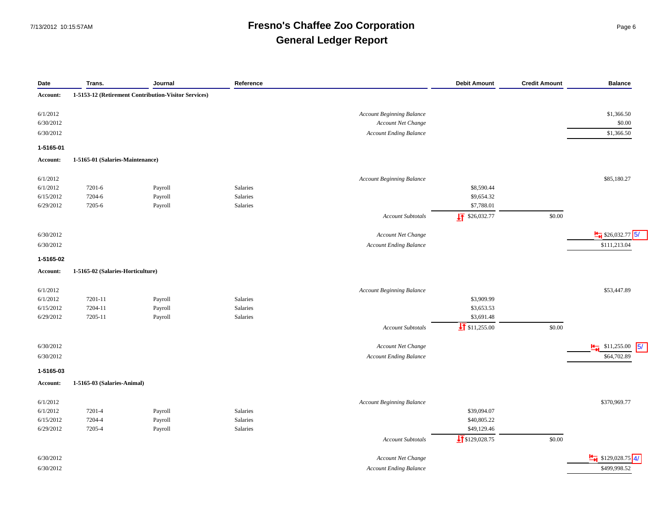### 7/13/2012 10:15:57AM **Fresno's Chaffee Zoo Corporation** Page 6 **General Ledger Report**

| Date                  | Trans.                            | Journal                                              | Reference |                                  | <b>Debit Amount</b>        | <b>Credit Amount</b> | <b>Balance</b>                  |
|-----------------------|-----------------------------------|------------------------------------------------------|-----------|----------------------------------|----------------------------|----------------------|---------------------------------|
| Account:              |                                   | 1-5153-12 (Retirement Contribution-Visitor Services) |           |                                  |                            |                      |                                 |
| 6/1/2012              |                                   |                                                      |           | <b>Account Beginning Balance</b> |                            |                      | \$1,366.50                      |
| 6/30/2012             |                                   |                                                      |           | Account Net Change               |                            |                      | \$0.00                          |
| 6/30/2012             |                                   |                                                      |           | <b>Account Ending Balance</b>    |                            |                      | \$1,366.50                      |
| 1-5165-01             |                                   |                                                      |           |                                  |                            |                      |                                 |
| Account:              | 1-5165-01 (Salaries-Maintenance)  |                                                      |           |                                  |                            |                      |                                 |
|                       |                                   |                                                      |           | <b>Account Beginning Balance</b> |                            |                      |                                 |
| 6/1/2012<br>6/1/2012  | 7201-6                            | Payroll                                              | Salaries  |                                  | \$8,590.44                 |                      | \$85,180.27                     |
| 6/15/2012             | 7204-6                            | Payroll                                              | Salaries  |                                  | \$9,654.32                 |                      |                                 |
| 6/29/2012             | 7205-6                            | Payroll                                              | Salaries  |                                  | \$7,788.01                 |                      |                                 |
|                       |                                   |                                                      |           |                                  |                            | \$0.00               |                                 |
|                       |                                   |                                                      |           | <b>Account Subtotals</b>         | $\sqrt{11}$ \$26,032.77    |                      |                                 |
| 6/30/2012             |                                   |                                                      |           | Account Net Change               |                            |                      | $\frac{H}{24}$ \$26,032.77 5/   |
| 6/30/2012             |                                   |                                                      |           | <b>Account Ending Balance</b>    |                            |                      | \$111,213.04                    |
| 1-5165-02             |                                   |                                                      |           |                                  |                            |                      |                                 |
| Account:              | 1-5165-02 (Salaries-Horticulture) |                                                      |           |                                  |                            |                      |                                 |
|                       |                                   |                                                      |           |                                  |                            |                      |                                 |
| 6/1/2012              |                                   |                                                      | Salaries  | <b>Account Beginning Balance</b> |                            |                      | \$53,447.89                     |
| 6/1/2012<br>6/15/2012 | 7201-11<br>7204-11                | Payroll<br>Payroll                                   | Salaries  |                                  | \$3,909.99<br>\$3,653.53   |                      |                                 |
| 6/29/2012             | 7205-11                           | Payroll                                              | Salaries  |                                  | \$3,691.48                 |                      |                                 |
|                       |                                   |                                                      |           |                                  | $\frac{1}{21}$ \$11,255.00 | \$0.00               |                                 |
|                       |                                   |                                                      |           | <b>Account Subtotals</b>         |                            |                      |                                 |
| 6/30/2012             |                                   |                                                      |           | Account Net Change               |                            |                      | $\frac{1}{2}$ \$11,255.00<br>5/ |
| 6/30/2012             |                                   |                                                      |           | <b>Account Ending Balance</b>    |                            |                      | \$64,702.89                     |
| 1-5165-03             |                                   |                                                      |           |                                  |                            |                      |                                 |
| Account:              | 1-5165-03 (Salaries-Animal)       |                                                      |           |                                  |                            |                      |                                 |
| 6/1/2012              |                                   |                                                      |           | <b>Account Beginning Balance</b> |                            |                      | \$370,969.77                    |
| 6/1/2012              | 7201-4                            | Payroll                                              | Salaries  |                                  | \$39,094.07                |                      |                                 |
| 6/15/2012             | 7204-4                            | Payroll                                              | Salaries  |                                  | \$40,805.22                |                      |                                 |
| 6/29/2012             | 7205-4                            | Payroll                                              | Salaries  |                                  | \$49,129.46                |                      |                                 |
|                       |                                   |                                                      |           | <b>Account Subtotals</b>         | $\frac{1}{2}$ \$129,028.75 | \$0.00               |                                 |
| 6/30/2012             |                                   |                                                      |           | Account Net Change               |                            |                      | $\frac{H}{H}$ \$129,028.75 4/   |
|                       |                                   |                                                      |           |                                  |                            |                      |                                 |
| 6/30/2012             |                                   |                                                      |           | <b>Account Ending Balance</b>    |                            |                      | \$499,998.52                    |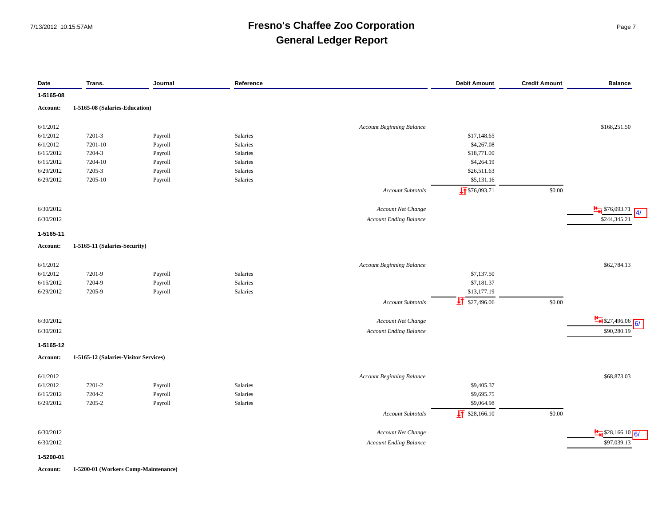#### 7/13/2012 10:15:57AM **Fresno's Chaffee Zoo Corporation** Page 7 **General Ledger Report**

| Date            | Trans.                                | Journal | Reference |                                  | <b>Debit Amount</b>        | <b>Credit Amount</b> | <b>Balance</b>                      |
|-----------------|---------------------------------------|---------|-----------|----------------------------------|----------------------------|----------------------|-------------------------------------|
| 1-5165-08       |                                       |         |           |                                  |                            |                      |                                     |
| Account:        | 1-5165-08 (Salaries-Education)        |         |           |                                  |                            |                      |                                     |
|                 |                                       |         |           |                                  |                            |                      |                                     |
| 6/1/2012        |                                       |         |           | <b>Account Beginning Balance</b> |                            |                      | \$168,251.50                        |
| 6/1/2012        | 7201-3                                | Payroll | Salaries  |                                  | \$17,148.65                |                      |                                     |
| 6/1/2012        | 7201-10                               | Payroll | Salaries  |                                  | \$4,267.08                 |                      |                                     |
| 6/15/2012       | 7204-3                                | Payroll | Salaries  |                                  | \$18,771.00                |                      |                                     |
| 6/15/2012       | 7204-10                               | Payroll | Salaries  |                                  | \$4,264.19                 |                      |                                     |
| 6/29/2012       | 7205-3                                | Payroll | Salaries  |                                  | \$26,511.63                |                      |                                     |
| 6/29/2012       | 7205-10                               | Payroll | Salaries  |                                  | \$5,131.16                 |                      |                                     |
|                 |                                       |         |           | <b>Account Subtotals</b>         | $\sqrt{1}$ \$76,093.71     | \$0.00               |                                     |
| 6/30/2012       |                                       |         |           | Account Net Change               |                            |                      | $\frac{1}{1}$ \$76,093.71           |
| 6/30/2012       |                                       |         |           | <b>Account Ending Balance</b>    |                            |                      | $\overline{4/}$<br>\$244,345.21     |
| 1-5165-11       |                                       |         |           |                                  |                            |                      |                                     |
| Account:        | 1-5165-11 (Salaries-Security)         |         |           |                                  |                            |                      |                                     |
|                 |                                       |         |           |                                  |                            |                      |                                     |
| 6/1/2012        |                                       |         |           | <b>Account Beginning Balance</b> |                            |                      | \$62,784.13                         |
| 6/1/2012        | 7201-9                                | Payroll | Salaries  |                                  | \$7,137.50                 |                      |                                     |
| 6/15/2012       | 7204-9                                | Payroll | Salaries  |                                  | \$7,181.37                 |                      |                                     |
| 6/29/2012       | 7205-9                                | Payroll | Salaries  |                                  | \$13,177.19                |                      |                                     |
|                 |                                       |         |           | <b>Account Subtotals</b>         | $\frac{1}{21}$ \$27,496.06 | \$0.00               |                                     |
|                 |                                       |         |           |                                  |                            |                      |                                     |
| 6/30/2012       |                                       |         |           | Account Net Change               |                            |                      | $\frac{H}{\sqrt{2}}$ \$27,496.06 6/ |
| 6/30/2012       |                                       |         |           | <b>Account Ending Balance</b>    |                            |                      | \$90,280.19                         |
|                 |                                       |         |           |                                  |                            |                      |                                     |
| 1-5165-12       |                                       |         |           |                                  |                            |                      |                                     |
| Account:        | 1-5165-12 (Salaries-Visitor Services) |         |           |                                  |                            |                      |                                     |
| 6/1/2012        |                                       |         |           | <b>Account Beginning Balance</b> |                            |                      | \$68,873.03                         |
| 6/1/2012        | 7201-2                                | Payroll | Salaries  |                                  | \$9,405.37                 |                      |                                     |
| 6/15/2012       | 7204-2                                | Payroll | Salaries  |                                  | \$9,695.75                 |                      |                                     |
| 6/29/2012       | 7205-2                                | Payroll | Salaries  |                                  | \$9,064.98                 |                      |                                     |
|                 |                                       |         |           | <b>Account Subtotals</b>         | $\sqrt{11}$ \$28,166.10    | \$0.00               |                                     |
|                 |                                       |         |           |                                  |                            |                      |                                     |
| 6/30/2012       |                                       |         |           | Account Net Change               |                            |                      | $\frac{H}{\sqrt{6}}$ \$28,166.10 6/ |
| 6/30/2012       |                                       |         |           | <b>Account Ending Balance</b>    |                            |                      | \$97,039.13                         |
| 1-5200-01       |                                       |         |           |                                  |                            |                      |                                     |
| <b>Account:</b> | 1-5200-01 (Workers Comp-Maintenance)  |         |           |                                  |                            |                      |                                     |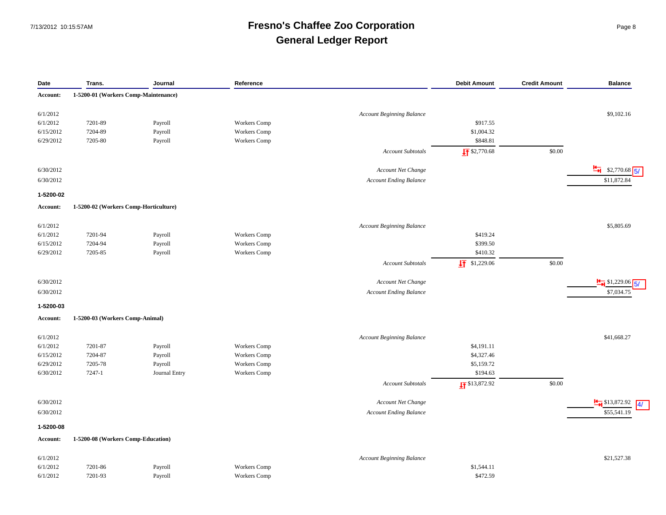### 7/13/2012 10:15:57AM **Fresno's Chaffee Zoo Corporation** Page 8 **General Ledger Report**

| Date            | Trans.                                | Journal       | Reference           |                                  | <b>Debit Amount</b>       | <b>Credit Amount</b> | <b>Balance</b>                               |
|-----------------|---------------------------------------|---------------|---------------------|----------------------------------|---------------------------|----------------------|----------------------------------------------|
| Account:        | 1-5200-01 (Workers Comp-Maintenance)  |               |                     |                                  |                           |                      |                                              |
| 6/1/2012        |                                       |               |                     | <b>Account Beginning Balance</b> |                           |                      | \$9,102.16                                   |
| 6/1/2012        | 7201-89                               | Payroll       | Workers Comp        |                                  | \$917.55                  |                      |                                              |
| 6/15/2012       | 7204-89                               | Payroll       | Workers Comp        |                                  | \$1,004.32                |                      |                                              |
| 6/29/2012       | 7205-80                               | Payroll       | Workers Comp        |                                  | \$848.81                  |                      |                                              |
|                 |                                       |               |                     | <b>Account Subtotals</b>         | $\frac{1}{2}$ \$2,770.68  | \$0.00               |                                              |
|                 |                                       |               |                     |                                  |                           |                      |                                              |
| 6/30/2012       |                                       |               |                     | <b>Account Net Change</b>        |                           |                      | $\frac{H}{H}$ \$2,770.68 5/                  |
| 6/30/2012       |                                       |               |                     | <b>Account Ending Balance</b>    |                           |                      | \$11,872.84                                  |
| 1-5200-02       |                                       |               |                     |                                  |                           |                      |                                              |
| Account:        | 1-5200-02 (Workers Comp-Horticulture) |               |                     |                                  |                           |                      |                                              |
| 6/1/2012        |                                       |               |                     | <b>Account Beginning Balance</b> |                           |                      | \$5,805.69                                   |
| 6/1/2012        | 7201-94                               | Payroll       | Workers Comp        |                                  | \$419.24                  |                      |                                              |
| 6/15/2012       | 7204-94                               | Payroll       | Workers Comp        |                                  | \$399.50                  |                      |                                              |
| 6/29/2012       | 7205-85                               | Payroll       | Workers Comp        |                                  | \$410.32                  |                      |                                              |
|                 |                                       |               |                     | Account Subtotals                | $\sqrt{1}$ \$1,229.06     | \$0.00               |                                              |
| 6/30/2012       |                                       |               |                     | Account Net Change               |                           |                      | $\frac{1}{2}$ \$1,229.06                     |
| 6/30/2012       |                                       |               |                     | <b>Account Ending Balance</b>    |                           |                      | \$7,034.75                                   |
| 1-5200-03       |                                       |               |                     |                                  |                           |                      |                                              |
| <b>Account:</b> | 1-5200-03 (Workers Comp-Animal)       |               |                     |                                  |                           |                      |                                              |
| 6/1/2012        |                                       |               |                     | <b>Account Beginning Balance</b> |                           |                      | \$41,668.27                                  |
| 6/1/2012        | 7201-87                               | Payroll       | Workers Comp        |                                  | \$4,191.11                |                      |                                              |
| 6/15/2012       | 7204-87                               | Payroll       | <b>Workers Comp</b> |                                  | \$4,327.46                |                      |                                              |
| 6/29/2012       | 7205-78                               | Payroll       | Workers Comp        |                                  | \$5,159.72                |                      |                                              |
| 6/30/2012       | 7247-1                                | Journal Entry | <b>Workers Comp</b> |                                  | \$194.63                  |                      |                                              |
|                 |                                       |               |                     | <b>Account Subtotals</b>         | $\frac{1}{2}$ \$13,872.92 | \$0.00               |                                              |
| 6/30/2012       |                                       |               |                     | Account Net Change               |                           |                      | $\frac{1}{2}$ \$13,872.92<br>$\overline{4/}$ |
| 6/30/2012       |                                       |               |                     | <b>Account Ending Balance</b>    |                           |                      | \$55,541.19                                  |
| 1-5200-08       |                                       |               |                     |                                  |                           |                      |                                              |
| Account:        | 1-5200-08 (Workers Comp-Education)    |               |                     |                                  |                           |                      |                                              |
| 6/1/2012        |                                       |               |                     | Account Beginning Balance        |                           |                      | \$21,527.38                                  |
| 6/1/2012        | 7201-86                               | Payroll       | Workers Comp        |                                  | \$1,544.11                |                      |                                              |
| 6/1/2012        | 7201-93                               | Payroll       | Workers Comp        |                                  | \$472.59                  |                      |                                              |
|                 |                                       |               |                     |                                  |                           |                      |                                              |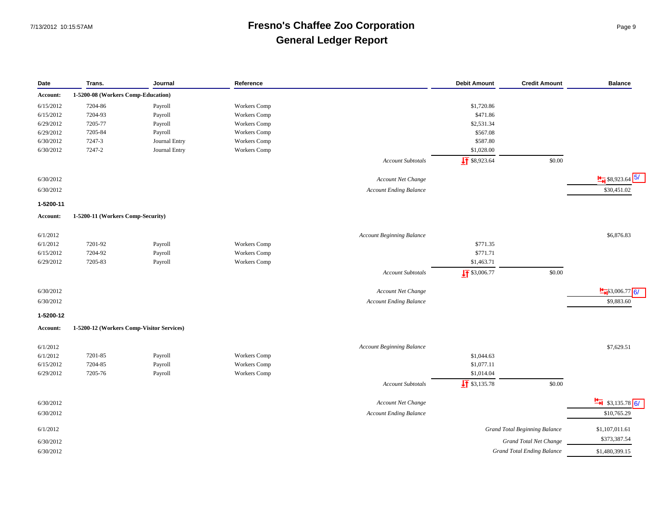### 7/13/2012 10:15:57AM **Fresno's Chaffee Zoo Corporation** Page 9 **General Ledger Report**

| Date      | Trans.                                    | Journal       | Reference           |                                  | <b>Debit Amount</b>      | <b>Credit Amount</b>                 | <b>Balance</b>                     |
|-----------|-------------------------------------------|---------------|---------------------|----------------------------------|--------------------------|--------------------------------------|------------------------------------|
| Account:  | 1-5200-08 (Workers Comp-Education)        |               |                     |                                  |                          |                                      |                                    |
| 6/15/2012 | 7204-86                                   | Payroll       | Workers Comp        |                                  | \$1,720.86               |                                      |                                    |
| 6/15/2012 | 7204-93                                   | Payroll       | Workers Comp        |                                  | \$471.86                 |                                      |                                    |
| 6/29/2012 | 7205-77                                   | Payroll       | Workers Comp        |                                  | \$2,531.34               |                                      |                                    |
| 6/29/2012 | 7205-84                                   | Payroll       | Workers Comp        |                                  | \$567.08                 |                                      |                                    |
| 6/30/2012 | 7247-3                                    | Journal Entry | <b>Workers</b> Comp |                                  | \$587.80                 |                                      |                                    |
| 6/30/2012 | 7247-2                                    | Journal Entry | Workers Comp        |                                  | \$1,028.00               |                                      |                                    |
|           |                                           |               |                     | <b>Account Subtotals</b>         | $\frac{1}{2}$ \$8,923.64 | \$0.00                               |                                    |
|           |                                           |               |                     |                                  |                          |                                      |                                    |
| 6/30/2012 |                                           |               |                     | Account Net Change               |                          |                                      | $\frac{H}{\bullet}$ \$8,923.64 5/  |
| 6/30/2012 |                                           |               |                     | <b>Account Ending Balance</b>    |                          |                                      | \$30,451.02                        |
| 1-5200-11 |                                           |               |                     |                                  |                          |                                      |                                    |
| Account:  | 1-5200-11 (Workers Comp-Security)         |               |                     |                                  |                          |                                      |                                    |
|           |                                           |               |                     |                                  |                          |                                      |                                    |
| 6/1/2012  |                                           |               |                     | <b>Account Beginning Balance</b> |                          |                                      | \$6,876.83                         |
| 6/1/2012  | 7201-92                                   | Payroll       | <b>Workers</b> Comp |                                  | \$771.35                 |                                      |                                    |
| 6/15/2012 | 7204-92                                   | Payroll       | Workers Comp        |                                  | \$771.71                 |                                      |                                    |
| 6/29/2012 | 7205-83                                   | Payroll       | Workers Comp        |                                  | \$1,463.71               |                                      |                                    |
|           |                                           |               |                     | <b>Account Subtotals</b>         | $\frac{1}{2}$ \$3,006.77 | \$0.00                               |                                    |
|           |                                           |               |                     |                                  |                          |                                      |                                    |
| 6/30/2012 |                                           |               |                     | Account Net Change               |                          |                                      | $\frac{H}{H}$ \$3,006.77           |
| 6/30/2012 |                                           |               |                     | <b>Account Ending Balance</b>    |                          |                                      | \$9,883.60                         |
| 1-5200-12 |                                           |               |                     |                                  |                          |                                      |                                    |
| Account:  | 1-5200-12 (Workers Comp-Visitor Services) |               |                     |                                  |                          |                                      |                                    |
|           |                                           |               |                     |                                  |                          |                                      |                                    |
| 6/1/2012  |                                           |               |                     | <b>Account Beginning Balance</b> |                          |                                      | \$7,629.51                         |
| 6/1/2012  | 7201-85                                   | Payroll       | Workers Comp        |                                  | \$1,044.63               |                                      |                                    |
| 6/15/2012 | 7204-85                                   | Payroll       | <b>Workers</b> Comp |                                  | \$1,077.11               |                                      |                                    |
| 6/29/2012 | 7205-76                                   | Payroll       | Workers Comp        |                                  | \$1,014.04               |                                      |                                    |
|           |                                           |               |                     | <b>Account Subtotals</b>         | $\frac{1}{2}$ \$3,135.78 | \$0.00                               |                                    |
|           |                                           |               |                     |                                  |                          |                                      | $\frac{H}{\sqrt{2}}$ \$3,135.78 6/ |
| 6/30/2012 |                                           |               |                     | Account Net Change               |                          |                                      |                                    |
| 6/30/2012 |                                           |               |                     | <b>Account Ending Balance</b>    |                          |                                      | \$10,765.29                        |
| 6/1/2012  |                                           |               |                     |                                  |                          | <b>Grand Total Beginning Balance</b> | \$1,107,011.61                     |
| 6/30/2012 |                                           |               |                     |                                  |                          | Grand Total Net Change               | \$373,387.54                       |
| 6/30/2012 |                                           |               |                     |                                  |                          | <b>Grand Total Ending Balance</b>    | \$1,480,399.15                     |
|           |                                           |               |                     |                                  |                          |                                      |                                    |